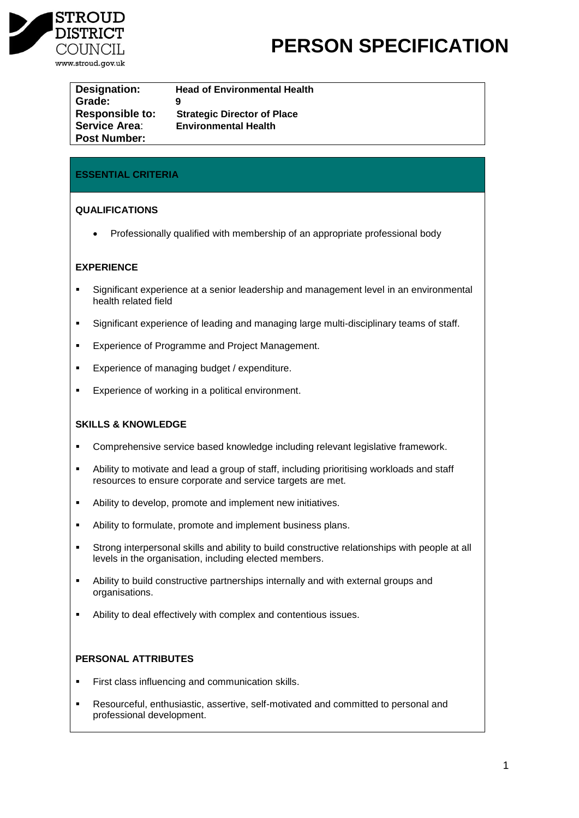

# **PERSON SPECIFICATION**

| Designation:           | <b>Head of Environmental Health</b> |
|------------------------|-------------------------------------|
| Grade:                 | 9                                   |
| <b>Responsible to:</b> | <b>Strategic Director of Place</b>  |
| <b>Service Area:</b>   | <b>Environmental Health</b>         |
| <b>Post Number:</b>    |                                     |

# **ESSENTIAL CRITERIA**

### **QUALIFICATIONS**

• Professionally qualified with membership of an appropriate professional body

# **EXPERIENCE**

- Significant experience at a senior leadership and management level in an environmental health related field
- Significant experience of leading and managing large multi-disciplinary teams of staff.
- **Experience of Programme and Project Management.**
- **Experience of managing budget / expenditure.**
- **Experience of working in a political environment.**

# **SKILLS & KNOWLEDGE**

- Comprehensive service based knowledge including relevant legislative framework.
- Ability to motivate and lead a group of staff, including prioritising workloads and staff resources to ensure corporate and service targets are met.
- Ability to develop, promote and implement new initiatives.
- Ability to formulate, promote and implement business plans.
- Strong interpersonal skills and ability to build constructive relationships with people at all levels in the organisation, including elected members.
- Ability to build constructive partnerships internally and with external groups and organisations.
- Ability to deal effectively with complex and contentious issues.

# **PERSONAL ATTRIBUTES**

- **First class influencing and communication skills.**
- Resourceful, enthusiastic, assertive, self-motivated and committed to personal and professional development.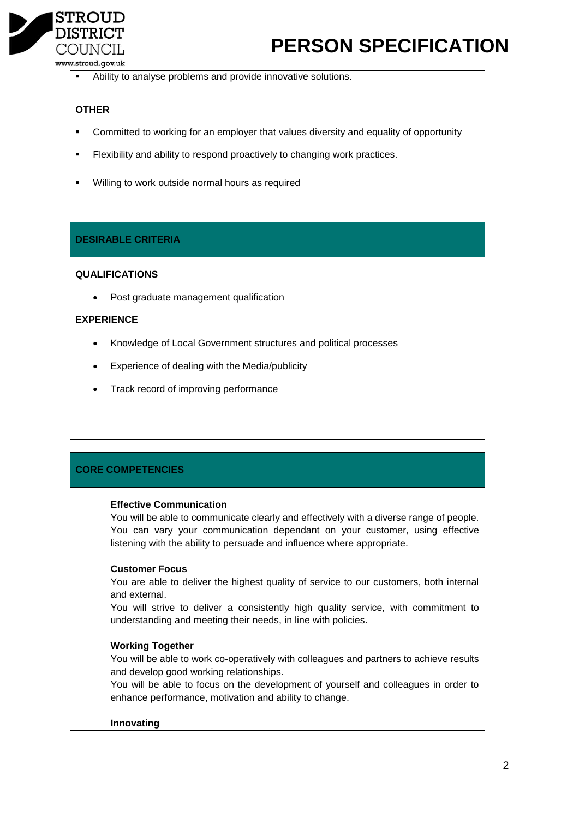

# **PERSON SPECIFICATION**

www.stroud.gov.uk

Ability to analyse problems and provide innovative solutions.

# **OTHER**

- Committed to working for an employer that values diversity and equality of opportunity
- **Flexibility and ability to respond proactively to changing work practices.**
- **Willing to work outside normal hours as required**

### **DESIRABLE CRITERIA**

### **QUALIFICATIONS**

Post graduate management qualification

### **EXPERIENCE**

- Knowledge of Local Government structures and political processes
- Experience of dealing with the Media/publicity
- Track record of improving performance

# **CORE COMPETENCIES**

#### **Effective Communication**

You will be able to communicate clearly and effectively with a diverse range of people. You can vary your communication dependant on your customer, using effective listening with the ability to persuade and influence where appropriate.

#### **Customer Focus**

You are able to deliver the highest quality of service to our customers, both internal and external.

You will strive to deliver a consistently high quality service, with commitment to understanding and meeting their needs, in line with policies.

#### **Working Together**

You will be able to work co-operatively with colleagues and partners to achieve results and develop good working relationships.

You will be able to focus on the development of yourself and colleagues in order to enhance performance, motivation and ability to change.

#### **Innovating**